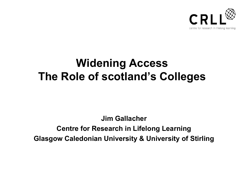

# **Widening Access The Role of scotland's Colleges**

**Jim Gallacher Centre for Research in Lifelong Learning Glasgow Caledonian University & University of Stirling**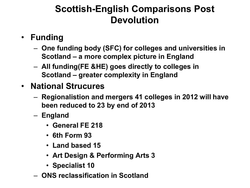## **Scottish-English Comparisons Post Devolution**

- **Funding**
	- **One funding body (SFC) for colleges and universities in Scotland – a more complex picture in England**
	- **All funding(FE &HE) goes directly to colleges in Scotland – greater complexity in England**
- **National Strucures**
	- **Regionalistion and mergers 41 colleges in 2012 will have been reduced to 23 by end of 2013**
	- **England** 
		- **General FE 218**
		- **6th Form 93**
		- **Land based 15**
		- **Art Design & Performing Arts 3**
		- **Specialist 10**
	- **ONS reclassification in Scotland**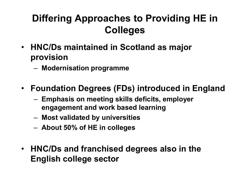# **Differing Approaches to Providing HE in Colleges**

- **HNC/Ds maintained in Scotland as major provision**
	- **Modernisation programme**
- **Foundation Degrees (FDs) introduced in England**
	- **Emphasis on meeting skills deficits, employer engagement and work based learning**
	- **Most validated by universities**
	- **About 50% of HE in colleges**
- **HNC/Ds and franchised degrees also in the English college sector**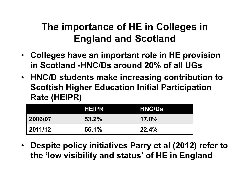# **The importance of HE in Colleges in England and Scotland**

- **Colleges have an important role in HE provision in Scotland -HNC/Ds around 20% of all UGs**
- **HNC/D students make increasing contribution to Scottish Higher Education Initial Participation Rate (HEIPR)**

|         | <b>HEIPR</b> | <b>HNC/Ds</b> |
|---------|--------------|---------------|
| 2006/07 | 53.2%        | $17.0\%$      |
| 2011/12 | 56.1%        | 22.4%         |

• **Despite policy initiatives Parry et al (2012) refer to the 'low visibility and status' of HE in England**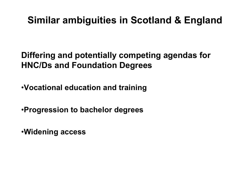## **Similar ambiguities in Scotland & England**

**Differing and potentially competing agendas for HNC/Ds and Foundation Degrees**

•**Vocational education and training**

•**Progression to bachelor degrees**

•**Widening access**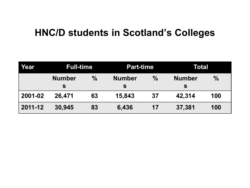#### **HNC/D students in Scotland's Colleges**

| Year    | <b>Full-time</b>   |               | <b>Part-time</b>   |               | Total              |               |
|---------|--------------------|---------------|--------------------|---------------|--------------------|---------------|
|         | <b>Number</b><br>S | $\frac{0}{0}$ | <b>Number</b><br>S | $\frac{0}{0}$ | <b>Number</b><br>S | $\frac{0}{0}$ |
| 2001-02 | 26.471             | 63            | 15,843             | 37            | 42,314             | 100           |
| 2011-12 | 30,945             | 83            | 6,436              | 17            | 37,381             | 100           |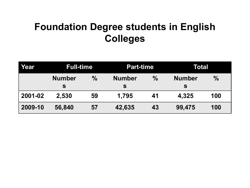# **Foundation Degree students in English Colleges**

| Year    | <b>Full-time</b>   |      | <b>Part-time</b>   |               | Total              |               |
|---------|--------------------|------|--------------------|---------------|--------------------|---------------|
|         | <b>Number</b><br>S | $\%$ | <b>Number</b><br>S | $\frac{0}{0}$ | <b>Number</b><br>S | $\frac{0}{0}$ |
| 2001-02 | 2,530              | 59   | 1,795              | 41            | 4,325              | 100           |
| 2009-10 | 56,840             | 57   | 42,635             | 43            | 99,475             | 100           |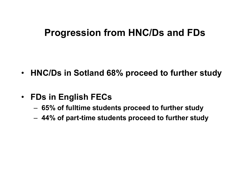#### **Progression from HNC/Ds and FDs**

- **HNC/Ds in Sotland 68% proceed to further study**
- **FDs in English FECs** 
	- **65% of fulltime students proceed to further study**
	- **44% of part-time students proceed to further study**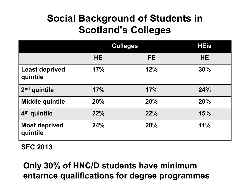# **Social Background of Students in Scotland's Colleges**

|                                   |           | <b>Colleges</b> |           |
|-----------------------------------|-----------|-----------------|-----------|
|                                   | <b>HE</b> | FE.             | <b>HE</b> |
| <b>Least deprived</b><br>quintile | 17%       | 12%             | 30%       |
| $2nd$ quintile                    | 17%       | 17%             | 24%       |
| <b>Middle quintile</b>            | 20%       | 20%             | 20%       |
| 4 <sup>th</sup> quintile          | 22%       | 22%             | 15%       |
| <b>Most deprived</b><br>quintile  | 24%       | 28%             | 11%       |

**SFC 2013**

#### **Only 30% of HNC/D students have minimum entarnce qualifications for degree programmes**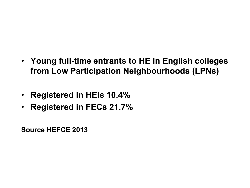- **Young full-time entrants to HE in English colleges from Low Participation Neighbourhoods (LPNs)**
- **Registered in HEIs 10.4%**
- **Registered in FECs 21.7%**

**Source HEFCE 2013**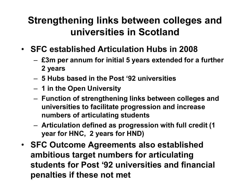## **Strengthening links between colleges and universities in Scotland**

- **SFC established Articulation Hubs in 2008**
	- **£3m per annum for initial 5 years extended for a further 2 years**
	- **5 Hubs based in the Post '92 universities**
	- **1 in the Open University**
	- **Function of strengthening links between colleges and universities to facilitate progression and increase numbers of articulating students**
	- **Articulation defined as progression with full credit (1 year for HNC, 2 years for HND)**
- **SFC Outcome Agreements also established ambitious target numbers for articulating students for Post '92 universities and financial penalties if these not met**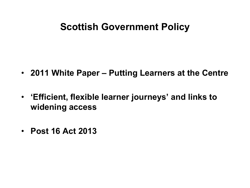#### **Scottish Government Policy**

- **2011 White Paper – Putting Learners at the Centre**
- **'Efficient, flexible learner journeys' and links to widening access**
- **Post 16 Act 2013**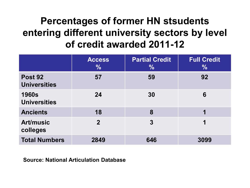# **Percentages of former HN stsudents entering different university sectors by level of credit awarded 2011-12**

|                                       | <b>Access</b><br>$\frac{0}{0}$ | <b>Partial Credit</b><br>$\frac{0}{0}$ | <b>Full Credit</b><br>$\frac{0}{0}$ |
|---------------------------------------|--------------------------------|----------------------------------------|-------------------------------------|
| <b>Post 92</b><br><b>Universities</b> | 57                             | 59                                     | 92                                  |
| <b>1960s</b><br><b>Universities</b>   | 24                             | 30                                     | 6                                   |
| <b>Ancients</b>                       | 18                             | 8                                      |                                     |
| <b>Art/music</b><br>colleges          | $\mathbf{2}$                   | $\mathbf{3}$                           | 1                                   |
| <b>Total Numbers</b>                  | 2849                           | 646                                    | 3099                                |

**Source: National Articulation Database**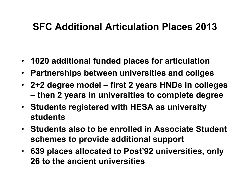#### **SFC Additional Articulation Places 2013**

- **1020 additional funded places for articulation**
- **Partnerships between universities and collges**
- **2+2 degree model – first 2 years HNDs in colleges – then 2 years in universities to complete degree**
- **Students registered with HESA as university students**
- **Students also to be enrolled in Associate Student schemes to provide additional support**
- **639 places allocated to Post'92 universities, only 26 to the ancient universities**